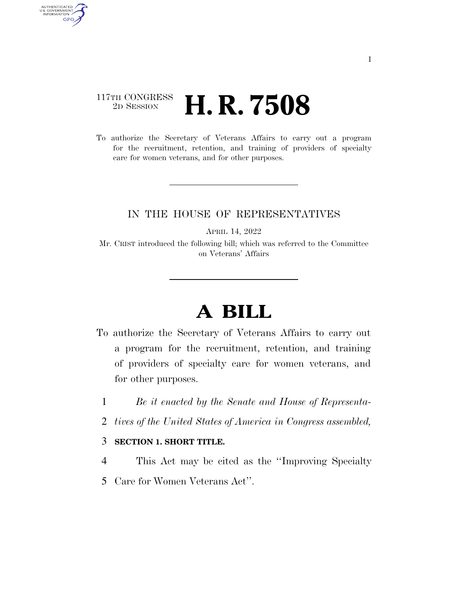### 117TH CONGRESS <sup>2D SESSION</sup> **H. R. 7508**

AUTHENTICATED<br>U.S. GOVERNMENT<br>INFORMATION GPO

> To authorize the Secretary of Veterans Affairs to carry out a program for the recruitment, retention, and training of providers of specialty care for women veterans, and for other purposes.

#### IN THE HOUSE OF REPRESENTATIVES

APRIL 14, 2022

Mr. CRIST introduced the following bill; which was referred to the Committee on Veterans' Affairs

# **A BILL**

- To authorize the Secretary of Veterans Affairs to carry out a program for the recruitment, retention, and training of providers of specialty care for women veterans, and for other purposes.
	- 1 *Be it enacted by the Senate and House of Representa-*
	- 2 *tives of the United States of America in Congress assembled,*

#### 3 **SECTION 1. SHORT TITLE.**

- 4 This Act may be cited as the ''Improving Specialty
- 5 Care for Women Veterans Act''.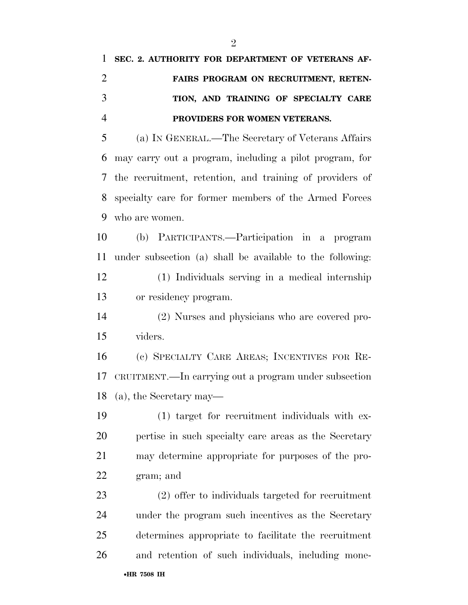## **SEC. 2. AUTHORITY FOR DEPARTMENT OF VETERANS AF- FAIRS PROGRAM ON RECRUITMENT, RETEN- TION, AND TRAINING OF SPECIALTY CARE PROVIDERS FOR WOMEN VETERANS.**  (a) IN GENERAL.—The Secretary of Veterans Affairs

 may carry out a program, including a pilot program, for the recruitment, retention, and training of providers of specialty care for former members of the Armed Forces who are women.

 (b) PARTICIPANTS.—Participation in a program under subsection (a) shall be available to the following: (1) Individuals serving in a medical internship or residency program.

 (2) Nurses and physicians who are covered pro-viders.

 (c) SPECIALTY CARE AREAS; INCENTIVES FOR RE- CRUITMENT.—In carrying out a program under subsection (a), the Secretary may—

 (1) target for recruitment individuals with ex- pertise in such specialty care areas as the Secretary may determine appropriate for purposes of the pro-gram; and

 (2) offer to individuals targeted for recruitment under the program such incentives as the Secretary determines appropriate to facilitate the recruitment and retention of such individuals, including mone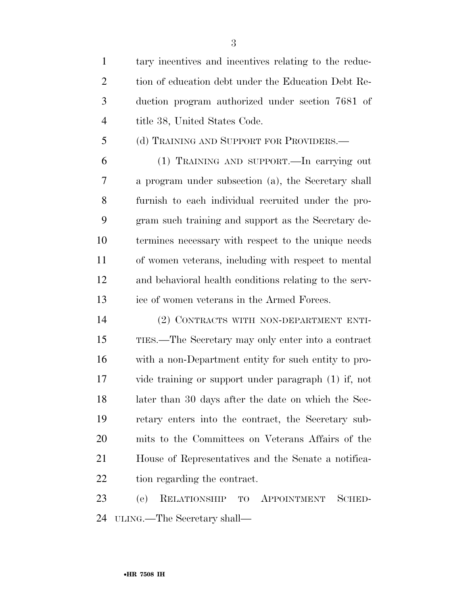tary incentives and incentives relating to the reduc-2 tion of education debt under the Education Debt Re- duction program authorized under section 7681 of 4 title 38, United States Code.

(d) TRAINING AND SUPPORT FOR PROVIDERS.—

 (1) TRAINING AND SUPPORT.—In carrying out a program under subsection (a), the Secretary shall furnish to each individual recruited under the pro- gram such training and support as the Secretary de- termines necessary with respect to the unique needs of women veterans, including with respect to mental and behavioral health conditions relating to the serv-ice of women veterans in the Armed Forces.

 (2) CONTRACTS WITH NON-DEPARTMENT ENTI- TIES.—The Secretary may only enter into a contract with a non-Department entity for such entity to pro- vide training or support under paragraph (1) if, not later than 30 days after the date on which the Sec- retary enters into the contract, the Secretary sub- mits to the Committees on Veterans Affairs of the House of Representatives and the Senate a notifica-tion regarding the contract.

 (e) RELATIONSHIP TO APPOINTMENT SCHED-ULING.—The Secretary shall—